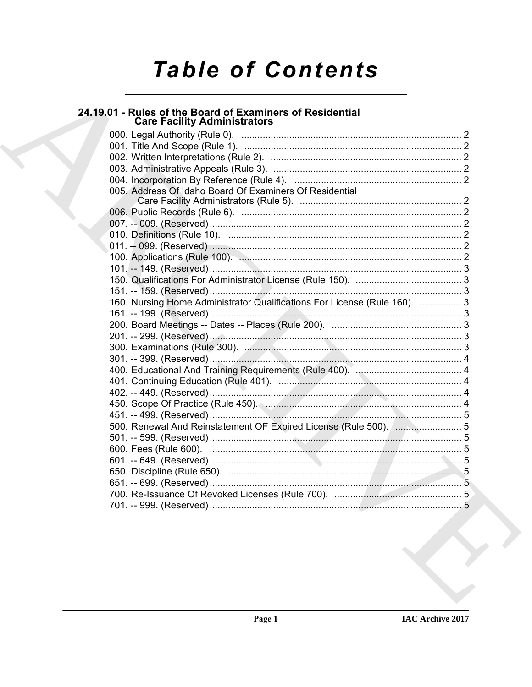# **Table of Contents**

# 24.19.01 - Rules of the Board of Examiners of Residential<br>Care Facility Administrators

| 005. Address Of Idaho Board Of Examiners Of Residential                   |  |
|---------------------------------------------------------------------------|--|
|                                                                           |  |
|                                                                           |  |
|                                                                           |  |
|                                                                           |  |
|                                                                           |  |
|                                                                           |  |
|                                                                           |  |
|                                                                           |  |
|                                                                           |  |
| 160. Nursing Home Administrator Qualifications For License (Rule 160).  3 |  |
|                                                                           |  |
|                                                                           |  |
|                                                                           |  |
|                                                                           |  |
|                                                                           |  |
|                                                                           |  |
|                                                                           |  |
|                                                                           |  |
|                                                                           |  |
| 500. Renewal And Reinstatement OF Expired License (Rule 500).  5          |  |
|                                                                           |  |
|                                                                           |  |
|                                                                           |  |
|                                                                           |  |
|                                                                           |  |
|                                                                           |  |
|                                                                           |  |
|                                                                           |  |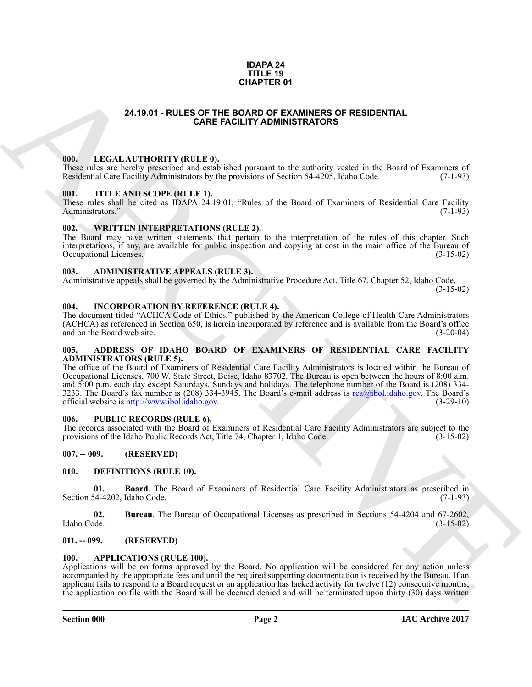#### **IDAPA 24 TITLE 19 CHAPTER 01**

#### **24.19.01 - RULES OF THE BOARD OF EXAMINERS OF RESIDENTIAL CARE FACILITY ADMINISTRATORS**

#### <span id="page-1-1"></span><span id="page-1-0"></span>**000. LEGAL AUTHORITY (RULE 0).**

These rules are hereby prescribed and established pursuant to the authority vested in the Board of Examiners of Residential Care Facility Administrators by the provisions of Section 54-4205, Idaho Code. (7-1-93) Residential Care Facility Administrators by the provisions of Section 54-4205, Idaho Code.

#### <span id="page-1-2"></span>**001. TITLE AND SCOPE (RULE 1).**

These rules shall be cited as IDAPA 24.19.01, "Rules of the Board of Examiners of Residential Care Facility Administrators." (7-1-93) Administrators."

#### <span id="page-1-3"></span>**002. WRITTEN INTERPRETATIONS (RULE 2).**

The Board may have written statements that pertain to the interpretation of the rules of this chapter. Such interpretations, if any, are available for public inspection and copying at cost in the main office of the Bureau of Occupational Licenses. (3-15-02)

#### <span id="page-1-4"></span>**003. ADMINISTRATIVE APPEALS (RULE 3).**

Administrative appeals shall be governed by the Administrative Procedure Act, Title 67, Chapter 52, Idaho Code.

(3-15-02)

#### <span id="page-1-5"></span>**004. INCORPORATION BY REFERENCE (RULE 4).**

The document titled "ACHCA Code of Ethics," published by the American College of Health Care Administrators (ACHCA) as referenced in Section 650, is herein incorporated by reference and is available from the Board's office and on the Board web site. (3-20-04)

#### <span id="page-1-6"></span>**005. ADDRESS OF IDAHO BOARD OF EXAMINERS OF RESIDENTIAL CARE FACILITY ADMINISTRATORS (RULE 5).**

ARC[HI](mailto:rca@ibol.idaho.gov)VE The office of the Board of Examiners of Residential Care Facility Administrators is located within the Bureau of Occupational Licenses, 700 W. State Street, Boise, Idaho 83702. The Bureau is open between the hours of 8:00 a.m. and 5:00 p.m. each day except Saturdays, Sundays and holidays. The telephone number of the Board is (208) 334- 3233. The Board's fax number is (208) 334-3945. The Board's e-mail address is rea@ibol.idaho.gov. The Board's official website is http://www.ibol.idaho.gov. official website is http://www.ibol.idaho.gov.

#### <span id="page-1-7"></span>**006. PUBLIC RECORDS (RULE 6).**

The records associated with the Board of Examiners of Residential Care Facility Administrators are subject to the provisions of the Idaho Public Records Act, Title 74, Chapter 1, Idaho Code. (3-15-02)

#### <span id="page-1-8"></span>**007. -- 009. (RESERVED)**

#### <span id="page-1-13"></span><span id="page-1-9"></span>**010. DEFINITIONS (RULE 10).**

<span id="page-1-14"></span>**01. Board**. The Board of Examiners of Residential Care Facility Administrators as prescribed in Section 54-4202, Idaho Code.

<span id="page-1-15"></span>**02.** Bureau. The Bureau of Occupational Licenses as prescribed in Sections 54-4204 and 67-2602, Idaho Code. (3-15-02) Idaho Code. (3-15-02)

#### <span id="page-1-10"></span>**011. -- 099. (RESERVED)**

#### <span id="page-1-12"></span><span id="page-1-11"></span>**100. APPLICATIONS (RULE 100).**

Applications will be on forms approved by the Board. No application will be considered for any action unless accompanied by the appropriate fees and until the required supporting documentation is received by the Bureau. If an applicant fails to respond to a Board request or an application has lacked activity for twelve (12) consecutive months, the application on file with the Board will be deemed denied and will be terminated upon thirty (30) days written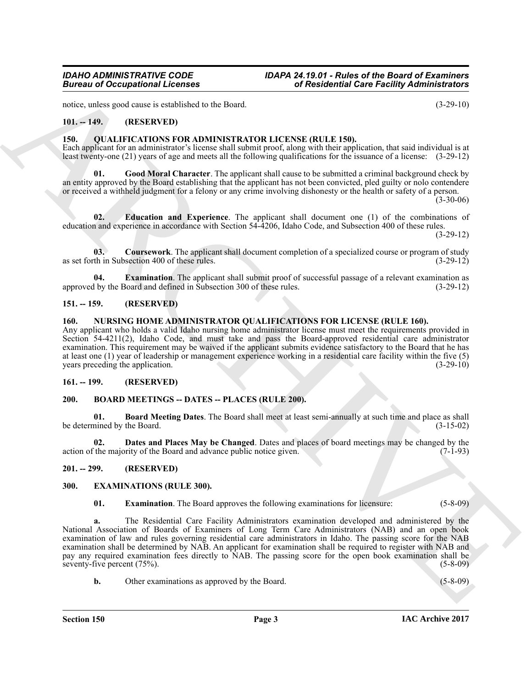notice, unless good cause is established to the Board. (3-29-10)

#### <span id="page-2-0"></span>**101. -- 149. (RESERVED)**

#### <span id="page-2-13"></span><span id="page-2-1"></span>**150. QUALIFICATIONS FOR ADMINISTRATOR LICENSE (RULE 150).**

Each applicant for an administrator's license shall submit proof, along with their application, that said individual is at least twenty-one (21) years of age and meets all the following qualifications for the issuance of a license: (3-29-12)

<span id="page-2-17"></span>**01. Good Moral Character**. The applicant shall cause to be submitted a criminal background check by an entity approved by the Board establishing that the applicant has not been convicted, pled guilty or nolo contendere or received a withheld judgment for a felony or any crime involving dishonesty or the health or safety of a person.

 $(3-30-06)$ 

<span id="page-2-15"></span>**02. Education and Experience**. The applicant shall document one (1) of the combinations of education and experience in accordance with Section 54-4206, Idaho Code, and Subsection 400 of these rules.

(3-29-12)

<span id="page-2-14"></span>**03. Coursework**. The applicant shall document completion of a specialized course or program of study as set forth in Subsection 400 of these rules. (3-29-12)

<span id="page-2-16"></span>**04. Examination**. The applicant shall submit proof of successful passage of a relevant examination as 1 by the Board and defined in Subsection 300 of these rules. (3-29-12) approved by the Board and defined in Subsection 300 of these rules.

#### <span id="page-2-2"></span>**151. -- 159. (RESERVED)**

#### <span id="page-2-12"></span><span id="page-2-3"></span>**160. NURSING HOME ADMINISTRATOR QUALIFICATIONS FOR LICENSE (RULE 160).**

Any applicant who holds a valid Idaho nursing home administrator license must meet the requirements provided in Section 54-4211(2), Idaho Code, and must take and pass the Board-approved residential care administrator examination. This requirement may be waived if the applicant submits evidence satisfactory to the Board that he has at least one (1) year of leadership or management experience working in a residential care facility within the five (5) years preceding the application.

#### <span id="page-2-4"></span>**161. -- 199. (RESERVED)**

#### <span id="page-2-8"></span><span id="page-2-5"></span>**200. BOARD MEETINGS -- DATES -- PLACES (RULE 200).**

<span id="page-2-9"></span>**01. Board Meeting Dates**. The Board shall meet at least semi-annually at such time and place as shall be determined by the Board.

<span id="page-2-10"></span>**02. Dates and Places May be Changed**. Dates and places of board meetings may be changed by the intimeration is the majority of the Board and advance public notice given. action of the majority of the Board and advance public notice given.

#### <span id="page-2-6"></span>**201. -- 299. (RESERVED)**

#### <span id="page-2-7"></span>**300. EXAMINATIONS (RULE 300).**

<span id="page-2-11"></span>**01. Examination**. The Board approves the following examinations for licensure: (5-8-09)

Given to Occupations I Leonard 1.<br>
The Residential Control is the set of the bend that the set of the set of the set of the set of the set of the set of the set of the set of the set of the set of the set of the set of th **a.** The Residential Care Facility Administrators examination developed and administered by the National Association of Boards of Examiners of Long Term Care Administrators (NAB) and an open book examination of law and rules governing residential care administrators in Idaho. The passing score for the NAB examination shall be determined by NAB. An applicant for examination shall be required to register with NAB and pay any required examination fees directly to NAB. The passing score for the open book examination shall be seventy-five percent (75%). (5-8-09)

**b.** Other examinations as approved by the Board. (5-8-09)

**Section 150 Page 3**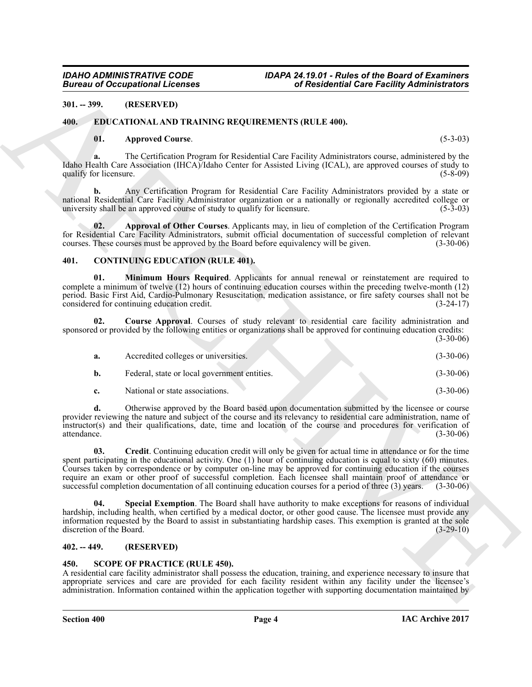#### <span id="page-3-0"></span>**301. -- 399. (RESERVED)**

#### <span id="page-3-1"></span>**400. EDUCATIONAL AND TRAINING REQUIREMENTS (RULE 400).**

#### <span id="page-3-12"></span><span id="page-3-10"></span>**01. Approved Course**. (5-3-03)

#### <span id="page-3-11"></span><span id="page-3-8"></span><span id="page-3-6"></span><span id="page-3-5"></span><span id="page-3-2"></span>**401. CONTINUING EDUCATION (RULE 401).**

| <b>Bureau of Occupational Licenses</b> |                                                                                                                                                                                                                                                                                                                                                                                                                                                                     | of Residential Care Facility Administrators                                                                         |  |
|----------------------------------------|---------------------------------------------------------------------------------------------------------------------------------------------------------------------------------------------------------------------------------------------------------------------------------------------------------------------------------------------------------------------------------------------------------------------------------------------------------------------|---------------------------------------------------------------------------------------------------------------------|--|
| $301. - 399.$                          | (RESERVED)                                                                                                                                                                                                                                                                                                                                                                                                                                                          |                                                                                                                     |  |
| 400.                                   | EDUCATIONAL AND TRAINING REQUIREMENTS (RULE 400).                                                                                                                                                                                                                                                                                                                                                                                                                   |                                                                                                                     |  |
| 01.                                    | <b>Approved Course.</b>                                                                                                                                                                                                                                                                                                                                                                                                                                             | $(5-3-03)$                                                                                                          |  |
| a.<br>qualify for licensure.           | Idaho Health Care Association (IHCA)/Idaho Center for Assisted Living (ICAL), are approved courses of study to                                                                                                                                                                                                                                                                                                                                                      | The Certification Program for Residential Care Facility Administrators course, administered by the<br>$(5-8-09)$    |  |
| b.                                     | national Residential Care Facility Administrator organization or a nationally or regionally accredited college or<br>university shall be an approved course of study to qualify for licensure.                                                                                                                                                                                                                                                                      | Any Certification Program for Residential Care Facility Administrators provided by a state or<br>$(5-3-03)$         |  |
| 02.                                    | for Residential Care Facility Administrators, submit official documentation of successful completion of relevant<br>courses. These courses must be approved by the Board before equivalency will be given.                                                                                                                                                                                                                                                          | Approval of Other Courses. Applicants may, in lieu of completion of the Certification Program<br>$(3-30-06)$        |  |
| 401.                                   | <b>CONTINUING EDUCATION (RULE 401).</b>                                                                                                                                                                                                                                                                                                                                                                                                                             |                                                                                                                     |  |
| 01.                                    | complete a minimum of twelve (12) hours of continuing education courses within the preceding twelve-month (12)<br>period. Basic First Aid, Cardio-Pulmonary Resuscitation, medication assistance, or fire safety courses shall not be<br>considered for continuing education credit.                                                                                                                                                                                | Minimum Hours Required. Applicants for annual renewal or reinstatement are required to<br>$(3-24-17)$               |  |
| 02.                                    | Course Approval. Courses of study relevant to residential care facility administration and<br>sponsored or provided by the following entities or organizations shall be approved for continuing education credits:                                                                                                                                                                                                                                                  | $(3-30-06)$                                                                                                         |  |
| a.                                     | Accredited colleges or universities.                                                                                                                                                                                                                                                                                                                                                                                                                                | $(3-30-06)$                                                                                                         |  |
| b.                                     | Federal, state or local government entities.                                                                                                                                                                                                                                                                                                                                                                                                                        | $(3-30-06)$                                                                                                         |  |
| c.                                     | National or state associations.                                                                                                                                                                                                                                                                                                                                                                                                                                     | $(3-30-06)$                                                                                                         |  |
| d.<br>attendance.                      | provider reviewing the nature and subject of the course and its relevancy to residential care administration, name of<br>instructor(s) and their qualifications, date, time and location of the course and procedures for verification of                                                                                                                                                                                                                           | Otherwise approved by the Board based upon documentation submitted by the licensee or course<br>$(3-30-06)$         |  |
| 03.                                    | spent participating in the educational activity. One (1) hour of continuing education is equal to sixty (60) minutes.<br>Courses taken by correspondence or by computer on-line may be approved for continuing education if the courses<br>require an exam or other proof of successful completion. Each licensee shall maintain proof of attendance or<br>successful completion documentation of all continuing education courses for a period of three (3) years. | Credit. Continuing education credit will only be given for actual time in attendance or for the time<br>$(3-30-06)$ |  |
| 04.<br>discretion of the Board.        | hardship, including health, when certified by a medical doctor, or other good cause. The licensee must provide any<br>information requested by the Board to assist in substantiating hardship cases. This exemption is granted at the sole                                                                                                                                                                                                                          | Special Exemption. The Board shall have authority to make exceptions for reasons of individual<br>$(3-29-10)$       |  |
| $402. - 449.$                          | (RESERVED)                                                                                                                                                                                                                                                                                                                                                                                                                                                          |                                                                                                                     |  |
| 450.                                   | <b>SCOPE OF PRACTICE (RULE 450).</b><br>A residential care facility administrator shall possess the education, training, and experience necessary to insure that<br>appropriate services and care are provided for each facility resident within any facility under the licensee's<br>administration. Information contained within the application together with supporting documentation maintained by                                                             |                                                                                                                     |  |

#### <span id="page-3-9"></span><span id="page-3-7"></span><span id="page-3-3"></span>**402. -- 449. (RESERVED)**

#### <span id="page-3-13"></span><span id="page-3-4"></span>**450. SCOPE OF PRACTICE (RULE 450).**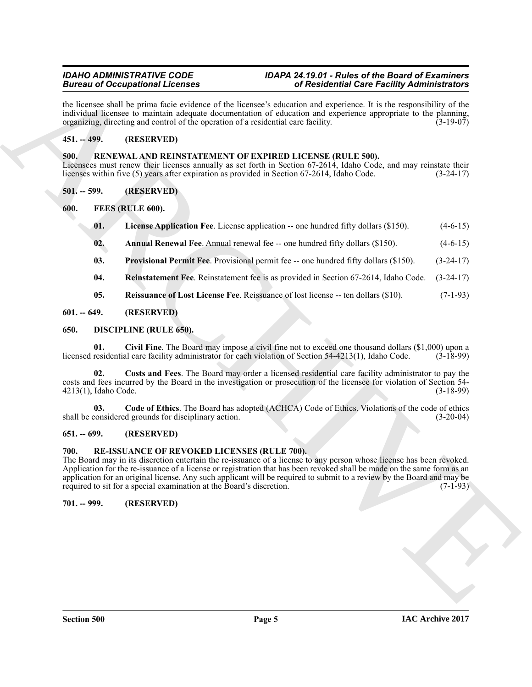#### *IDAHO ADMINISTRATIVE CODE IDAPA 24.19.01 - Rules of the Board of Examiners Bureau of Occupational Licenses of Residential Care Facility Administrators*

the licensee shall be prima facie evidence of the licensee's education and experience. It is the responsibility of the individual licensee to maintain adequate documentation of education and experience appropriate to the planning, organizing, directing and control of the operation of a residential care facility. (3-19-07) organizing, directing and control of the operation of a residential care facility.

### <span id="page-4-0"></span>**451. -- 499. (RESERVED)**

#### <span id="page-4-20"></span><span id="page-4-1"></span>**500. RENEWAL AND REINSTATEMENT OF EXPIRED LICENSE (RULE 500).**

Licensees must renew their licenses annually as set forth in Section 67-2614, Idaho Code, and may reinstate their licenses within five (5) years after expiration as provided in Section 67-2614, Idaho Code. (3-24-17) licenses within five (5) years after expiration as provided in Section 67-2614, Idaho Code.

<span id="page-4-2"></span>**501. -- 599. (RESERVED)**

<span id="page-4-3"></span>**600. FEES (RULE 600).**

- <span id="page-4-15"></span><span id="page-4-13"></span>**01.** License Application Fee. License application -- one hundred fifty dollars (\$150). (4-6-15)
- <span id="page-4-14"></span>**02.** Annual Renewal Fee. Annual renewal fee -- one hundred fifty dollars (\$150). (4-6-15)
- <span id="page-4-16"></span>**03. Provisional Permit Fee**. Provisional permit fee -- one hundred fifty dollars (\$150). (3-24-17)
- <span id="page-4-18"></span><span id="page-4-17"></span>**04. Reinstatement Fee**. Reinstatement fee is as provided in Section 67-2614, Idaho Code. (3-24-17)
- <span id="page-4-10"></span><span id="page-4-9"></span>**05. Reissuance of Lost License Fee**. Reissuance of lost license -- ten dollars (\$10). (7-1-93)

#### <span id="page-4-4"></span>**601. -- 649. (RESERVED)**

#### <span id="page-4-5"></span>**650. DISCIPLINE (RULE 650).**

**01.** Civil Fine. The Board may impose a civil fine not to exceed one thousand dollars (\$1,000) upon a residential care facility administrator for each violation of Section 54-4213(1), Idaho Code. (3-18-99) licensed residential care facility administrator for each violation of Section 54-4213(1), Idaho Code.

<span id="page-4-12"></span>**02. Costs and Fees**. The Board may order a licensed residential care facility administrator to pay the costs and fees incurred by the Board in the investigation or prosecution of the licensee for violation of Section 54-<br>4213(1), Idaho Code. (3-18-99)  $4213(1)$ , Idaho Code.

<span id="page-4-11"></span>**03.** Code of Ethics. The Board has adopted (ACHCA) Code of Ethics. Violations of the code of ethics considered grounds for disciplinary action. (3-20-04) shall be considered grounds for disciplinary action.

#### <span id="page-4-6"></span>**651. -- 699. (RESERVED)**

#### <span id="page-4-19"></span><span id="page-4-7"></span>**700. RE-ISSUANCE OF REVOKED LICENSES (RULE 700).**

**Brain of Occupation 12.** Consider the same of the lengther's considered in the constrained in the same of the same of the same of the same of the same of the same of the same of the same of the same of the same of the sa The Board may in its discretion entertain the re-issuance of a license to any person whose license has been revoked. Application for the re-issuance of a license or registration that has been revoked shall be made on the same form as an application for an original license. Any such applicant will be required to submit to a review by the Board and may be required to sit for a special examination at the Board's discretion. (7-1-93) required to sit for a special examination at the Board's discretion.

#### <span id="page-4-8"></span>**701. -- 999. (RESERVED)**